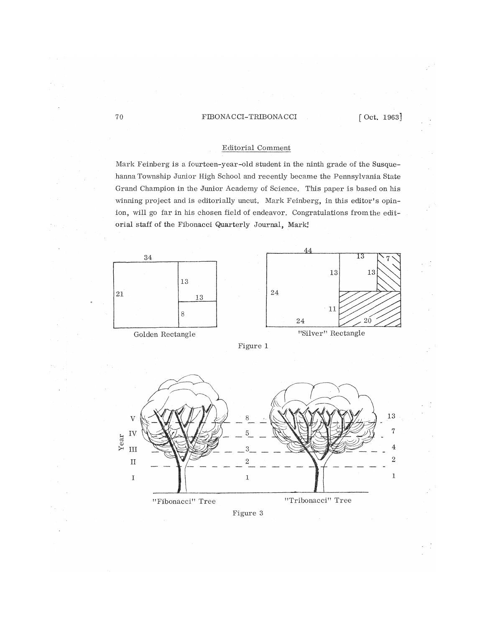# 70 **FIBONACCI-TRIBONACCI** [Oct. 1963]

# Editorial Comment

Mark Feinberg is a fourteen-year-old student in the ninth grade of the Susquehanna Township Junior High School and recently became the Pennsylvania State Grand Champion in the Junior Academy of Science, This paper is based on his winning project and is editorially uncut. Mark Feinberg, in this editor's opinion, will go far in his chosen field of endeavor. Congratulations from the editorial staff of the Fibonacci Quarterly Journal, Mark!

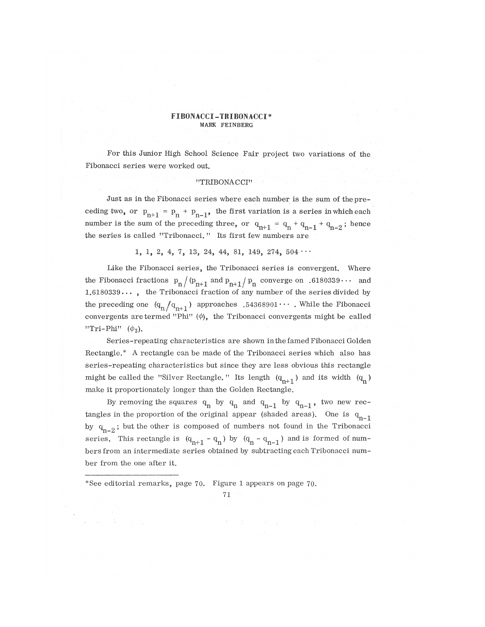### **FIBONACCI-TBIBONAOCI\***  MARK FEINBERG

For this Junior High School Science Fair project two variations of the Fibonacci series were worked **out.** 

## "TRIBONACCI"

Just as in the Fibonacci series where each number is the sum of the preceding two, or  $p_{n+1} = p_n + p_{n-1}$ , the first variation is a series in which each number is the sum of the preceding three, or  $q_{n+1} = q_n + q_{n-1} + q_{n-2}$ ; hence the series is called "Tribonacci." Its first few numbers are

1, 1, 2, 4, 7, 13, 24, 44, 81, 149, 274,  $504 \cdots$ 

Like the Fibonacci series, the Tribonacci series is convergent. Where the Fibonacci fractions  $p_n/(p_{n+1}$  and  $p_{n+1}/p_n$  converge on .6180339... and 1,6180339... , the Tribonacci fraction of any number of the series divided by the preceding one  $(q_n / q_{n+1})$  approaches  $.54368901 \cdots$  . While the Fibonacci convergents are termed "Phi"  $(\phi)$ , the Tribonacci convergents might be called "Tri-Phi"  $(\phi_3)$ .

Series-repeating characteristics are shown in the famed Fibonacci Golden Rectangle.\* A rectangle can be made of the Tribonacci series which also has series-repeating characteristics but since they are less obvious this rectangle might be called the "Silver Rectangle." Its length  $(q_{n+1})$  and its width  $(q_n)$ make it proportionately longer than the Golden Rectangle.

By removing the squares  $q_n$  by  $q_n$  and  $q_{n-1}$  by  $q_{n-1}$ , two new rectangles in the proportion of the original appear (shaded areas). One is  $q_{n-1}$ by  $q_{n-2}$ ; but the other is composed of numbers not found in the Tribonacci series. This rectangle is  $(q_{n+1} - q_n)$  by  $(q_n - q_{n-1})$  and is formed of numt-m n' n n<br>https://www.marchive.org/watch?news/ bersfrom an intermediate series obtained by subtracting each Tribonacci number from the one after it,

\*See editorial remarks, page 70. Figure 1 appears on page 70.

71 •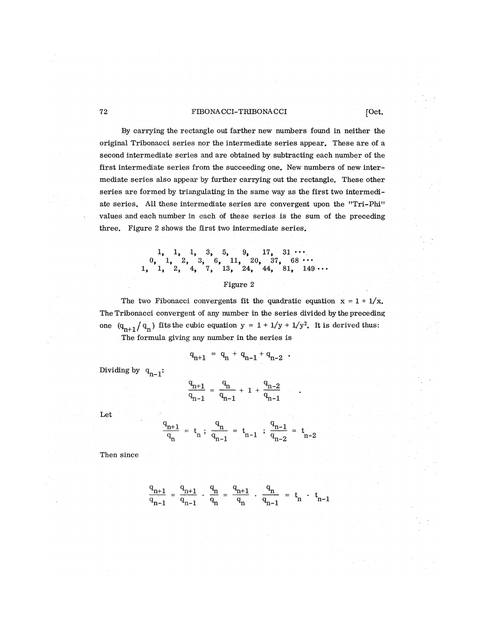## T2 **FIBONACCI-TRIBONACCI** [Oct.

By carrying the rectangle out farther new numbers found in neither the original Tribonacci series nor the intermediate series appear. These are of a second intermediate series and are obtained by subtracting each number of the first intermediate series from the succeeding one. New numbers of new intermediate series also appear by further carrying out the rectangle. These other series are formed by triangulating in the same way as the first two intermediate series. All these intermediate series are convergent upon the "Tri-Phi" values and each number in each of these series is the sum of the preceding three. Figure 2 shows the first two intermediate series.

> $1, 1, 1, 3, 5, 9, 17, 31 \cdots$  $11, 20, 37, 68 \cdots$ <br>13, 24, 44, 81, 149  $44, 81, 149 \cdots$

## Figure 2

The two Fibonacci convergents fit the quadratic equation  $x = 1 + 1/x$ . The Tribonacci convergent of any number in the series divided by the preceding one  $(q_{n+1}/q_n)$  fits the cubic equation  $y = 1 + 1/y + 1/y^2$ . It is derived thus: The formula giving any number in the series is

$$
q_{n+1} = q_n + q_{n-1} + q_{n-2} .
$$

Dividing by  $q_{n-1}$ :

$$
\frac{q_{n+1}}{q_{n-1}} = \frac{q_n}{q_{n-1}} + 1 + \frac{q_{n-2}}{q_{n-1}}
$$

Let

$$
\frac{q_{n+1}}{q_n} = t_n ; \frac{q_n}{q_{n-1}} = t_{n-1} ; \frac{q_{n-1}}{q_{n-2}} = t_{n-2}
$$

Then since

$$
\frac{q_{n+1}}{q_{n-1}} = \frac{q_{n+1}}{q_{n-1}} \cdot \frac{q_n}{q_n} = \frac{q_{n+1}}{q_n} \cdot \frac{q_n}{q_{n-1}} = t_n \cdot t_{n-1}
$$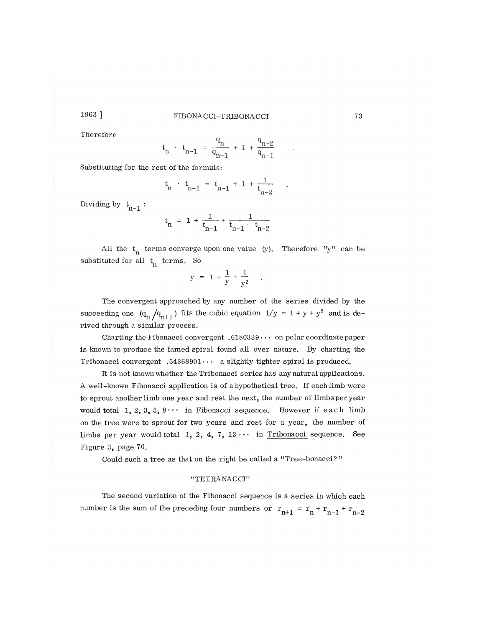# 1963 ] FIBONACCI-TRIBONACCI **73**

Therefore

$$
t_n \cdot t_{n-1} = \frac{q_n}{q_{n-1}} + 1 + \frac{q_{n-2}}{q_{n-1}}
$$

 $T_{\rm 1}$ Substituting for the rest of the formula:

$$
t_n \cdot t_{n-1} = t_{n-1} + 1 + \frac{1}{t_{n-2}}
$$

Dividing by  $t_{n-1}$ :

$$
t_n = 1 + \frac{1}{t_{n-1}} + \frac{1}{t_{n-1} \cdot t_{n-2}}
$$

All the  $t_n$  terms converge upon one value (y). Therefore "y" can be substituted for all  $t_n$  terms. So

$$
y = 1 + \frac{1}{y} + \frac{1}{y^2} \quad .
$$

The convergent approached by any number of the series divided by the succeeding one  $(q_n / q_{n+1})$  fits the cubic equation  $1/y = 1 + y + y^2$  and is derived through a similar process.

Charting the Fibonacci convergent  $.6180339\cdots$  on polar coordinate paper is known to produce the famed spiral found all over nature. By charting the Tribonacci convergent .54368901 $\cdots$  a slightly tighter spiral is produced.

It is not known whether the Tribonacci series has any natural applications. A well-known Fibonacci application is of a hypothetical tree. If each limb were to sprout another limb one year and rest the next, the number of limbs per year would total 1, 2, 3, 5,  $8...$  in Fibonacci sequence. However if each limb on the tree were to sprout for two years and rest for a year, the number of limbs per year would total 1, 2, 4, 7,  $13 \cdots$  in Tribonacci sequence. See Figure 3, page 70.

Could such a tree as that on the right be called a "Tree-bonacci?"

## "TETRANACCI"

The second variation of the Fibonacci sequence is a series in which each number is the sum of the preceding four numbers or  $r_{n+1} = r_n + r_{n-1} + r_{n-2}$